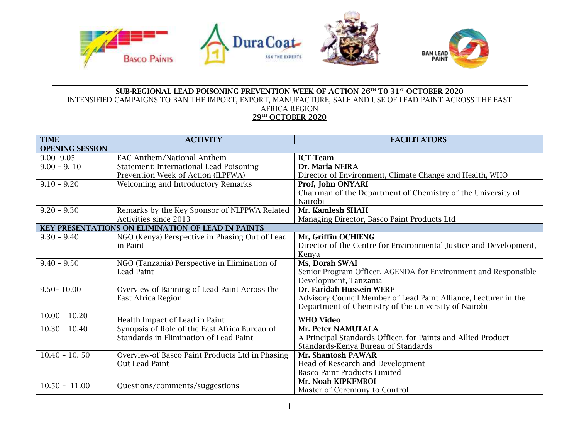

## **SUB-REGIONAL LEAD POISONING PREVENTION WEEK OF ACTION 26TH T0 31ST OCTOBER 2020** INTENSIFIED CAMPAIGNS TO BAN THE IMPORT, EXPORT, MANUFACTURE, SALE AND USE OF LEAD PAINT ACROSS THE EAST AFRICA REGION **29TH OCTOBER 2020**

| <b>TIME</b>                                        | <b>ACTIVITY</b>                                 | <b>FACILITATORS</b>                                               |  |
|----------------------------------------------------|-------------------------------------------------|-------------------------------------------------------------------|--|
| <b>OPENING SESSION</b>                             |                                                 |                                                                   |  |
| $9.00 - 9.05$                                      | <b>EAC Anthem/National Anthem</b>               | <b>ICT-Team</b>                                                   |  |
| $9.00 - 9.10$                                      | <b>Statement: International Lead Poisoning</b>  | Dr. Maria NEIRA                                                   |  |
|                                                    | Prevention Week of Action (ILPPWA)              | Director of Environment, Climate Change and Health, WHO           |  |
| $9.10 - 9.20$                                      | <b>Welcoming and Introductory Remarks</b>       | Prof, John ONYARI                                                 |  |
|                                                    |                                                 | Chairman of the Department of Chemistry of the University of      |  |
|                                                    |                                                 | Nairobi                                                           |  |
| $9.20 - 9.30$                                      | Remarks by the Key Sponsor of NLPPWA Related    | Mr. Kamlesh SHAH                                                  |  |
|                                                    | Activities since 2013                           | Managing Director, Basco Paint Products Ltd                       |  |
| KEY PRESENTATIONS ON ELIMINATION OF LEAD IN PAINTS |                                                 |                                                                   |  |
| $9.30 - 9.40$                                      | NGO (Kenya) Perspective in Phasing Out of Lead  | Mr, Griffin OCHIENG                                               |  |
|                                                    | in Paint                                        | Director of the Centre for Environmental Justice and Development, |  |
|                                                    |                                                 | Kenya                                                             |  |
| $9.40 - 9.50$                                      | NGO (Tanzania) Perspective in Elimination of    | Ms, Dorah SWAI                                                    |  |
|                                                    | <b>Lead Paint</b>                               | Senior Program Officer, AGENDA for Environment and Responsible    |  |
|                                                    |                                                 | Development, Tanzania                                             |  |
| $9.50 - 10.00$                                     | Overview of Banning of Lead Paint Across the    | Dr. Faridah Hussein WERE                                          |  |
|                                                    | East Africa Region                              | Advisory Council Member of Lead Paint Alliance, Lecturer in the   |  |
|                                                    |                                                 | Department of Chemistry of the university of Nairobi              |  |
| $\overline{10.00} - 10.20$                         | Health Impact of Lead in Paint                  | <b>WHO Video</b>                                                  |  |
| $10.30 - 10.40$                                    | Synopsis of Role of the East Africa Bureau of   | Mr. Peter NAMUTALA                                                |  |
|                                                    | Standards in Elimination of Lead Paint          | A Principal Standards Officer, for Paints and Allied Product      |  |
|                                                    |                                                 | Standards-Kenya Bureau of Standards                               |  |
| $10.40 - 10.50$                                    | Overview-of Basco Paint Products Ltd in Phasing | Mr. Shantosh PAWAR                                                |  |
|                                                    | Out Lead Paint                                  | Head of Research and Development                                  |  |
|                                                    |                                                 | <b>Basco Paint Products Limited</b>                               |  |
| $10.50 - 11.00$                                    | Questions/comments/suggestions                  | Mr. Noah KIPKEMBOI                                                |  |
|                                                    |                                                 | Master of Ceremony to Control                                     |  |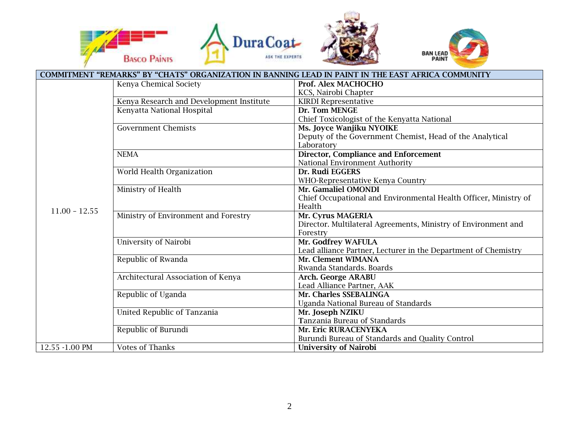





| COMMITMENT "REMARKS" BY "CHATS" ORGANIZATION IN BANNING LEAD IN PAINT IN THE EAST AFRICA COMMUNITY |                                          |                                                                                      |
|----------------------------------------------------------------------------------------------------|------------------------------------------|--------------------------------------------------------------------------------------|
|                                                                                                    | Kenya Chemical Society                   | Prof. Alex MACHOCHO                                                                  |
| $11.00 - 12.55$                                                                                    |                                          | KCS, Nairobi Chapter                                                                 |
|                                                                                                    | Kenya Research and Development Institute | <b>KIRDI Representative</b>                                                          |
|                                                                                                    | Kenyatta National Hospital               | Dr. Tom MENGE                                                                        |
|                                                                                                    |                                          | Chief Toxicologist of the Kenyatta National                                          |
|                                                                                                    | <b>Government Chemists</b>               | Ms. Joyce Wanjiku NYOIKE                                                             |
|                                                                                                    |                                          | Deputy of the Government Chemist, Head of the Analytical                             |
|                                                                                                    |                                          | Laboratory                                                                           |
|                                                                                                    | <b>NEMA</b>                              | <b>Director, Compliance and Enforcement</b>                                          |
|                                                                                                    |                                          | National Environment Authority                                                       |
|                                                                                                    | World Health Organization                | Dr. Rudi EGGERS                                                                      |
|                                                                                                    |                                          | WHO-Representative Kenya Country                                                     |
|                                                                                                    | Ministry of Health                       | Mr. Gamaliel OMONDI                                                                  |
|                                                                                                    |                                          | Chief Occupational and Environmental Health Officer, Ministry of                     |
|                                                                                                    |                                          | Health                                                                               |
|                                                                                                    | Ministry of Environment and Forestry     | Mr. Cyrus MAGERIA                                                                    |
|                                                                                                    |                                          | Director. Multilateral Agreements, Ministry of Environment and                       |
|                                                                                                    |                                          | Forestry                                                                             |
|                                                                                                    | University of Nairobi                    | Mr. Godfrey WAFULA                                                                   |
|                                                                                                    |                                          | Lead alliance Partner, Lecturer in the Department of Chemistry<br>Mr. Clement WIMANA |
|                                                                                                    | Republic of Rwanda                       |                                                                                      |
|                                                                                                    |                                          | Rwanda Standards. Boards                                                             |
|                                                                                                    | Architectural Association of Kenya       | <b>Arch. George ARABU</b><br>Lead Alliance Partner, AAK                              |
|                                                                                                    | Republic of Uganda                       | Mr. Charles SSEBALINGA                                                               |
|                                                                                                    |                                          | <b>Uganda National Bureau of Standards</b>                                           |
|                                                                                                    | United Republic of Tanzania              | Mr. Joseph NZIKU                                                                     |
|                                                                                                    |                                          | Tanzania Bureau of Standards                                                         |
|                                                                                                    | Republic of Burundi                      | Mr. Eric RURACENYEKA                                                                 |
|                                                                                                    |                                          | Burundi Bureau of Standards and Quality Control                                      |
| 12.55 -1.00 PM                                                                                     | <b>Votes of Thanks</b>                   | <b>University of Nairobi</b>                                                         |